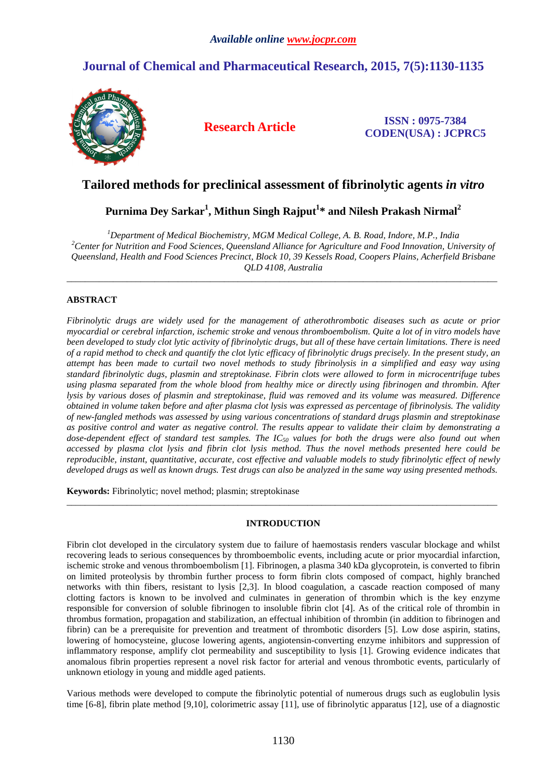# **Journal of Chemical and Pharmaceutical Research, 2015, 7(5):1130-1135**



**Research Article ISSN : 0975-7384 CODEN(USA) : JCPRC5**

# **Tailored methods for preclinical assessment of fibrinolytic agents** *in vitro*

# **Purnima Dey Sarkar<sup>1</sup> , Mithun Singh Rajput<sup>1</sup> \* and Nilesh Prakash Nirmal<sup>2</sup>**

*<sup>1</sup>Department of Medical Biochemistry, MGM Medical College, A. B. Road, Indore, M.P., India <sup>2</sup>Center for Nutrition and Food Sciences, Queensland Alliance for Agriculture and Food Innovation, University of Queensland, Health and Food Sciences Precinct, Block 10, 39 Kessels Road, Coopers Plains, Acherfield Brisbane QLD 4108, Australia* 

\_\_\_\_\_\_\_\_\_\_\_\_\_\_\_\_\_\_\_\_\_\_\_\_\_\_\_\_\_\_\_\_\_\_\_\_\_\_\_\_\_\_\_\_\_\_\_\_\_\_\_\_\_\_\_\_\_\_\_\_\_\_\_\_\_\_\_\_\_\_\_\_\_\_\_\_\_\_\_\_\_\_\_\_\_\_\_\_\_\_\_\_\_

## **ABSTRACT**

*Fibrinolytic drugs are widely used for the management of atherothrombotic diseases such as acute or prior myocardial or cerebral infarction, ischemic stroke and venous thromboembolism. Quite a lot of in vitro models have been developed to study clot lytic activity of fibrinolytic drugs, but all of these have certain limitations. There is need of a rapid method to check and quantify the clot lytic efficacy of fibrinolytic drugs precisely. In the present study, an attempt has been made to curtail two novel methods to study fibrinolysis in a simplified and easy way using standard fibrinolytic dugs, plasmin and streptokinase. Fibrin clots were allowed to form in microcentrifuge tubes using plasma separated from the whole blood from healthy mice or directly using fibrinogen and thrombin. After lysis by various doses of plasmin and streptokinase, fluid was removed and its volume was measured. Difference obtained in volume taken before and after plasma clot lysis was expressed as percentage of fibrinolysis. The validity of new-fangled methods was assessed by using various concentrations of standard drugs plasmin and streptokinase as positive control and water as negative control. The results appear to validate their claim by demonstrating a dose-dependent effect of standard test samples. The IC50 values for both the drugs were also found out when accessed by plasma clot lysis and fibrin clot lysis method. Thus the novel methods presented here could be reproducible, instant, quantitative, accurate, cost effective and valuable models to study fibrinolytic effect of newly developed drugs as well as known drugs. Test drugs can also be analyzed in the same way using presented methods.* 

**Keywords:** Fibrinolytic; novel method; plasmin; streptokinase

## **INTRODUCTION**

\_\_\_\_\_\_\_\_\_\_\_\_\_\_\_\_\_\_\_\_\_\_\_\_\_\_\_\_\_\_\_\_\_\_\_\_\_\_\_\_\_\_\_\_\_\_\_\_\_\_\_\_\_\_\_\_\_\_\_\_\_\_\_\_\_\_\_\_\_\_\_\_\_\_\_\_\_\_\_\_\_\_\_\_\_\_\_\_\_\_\_\_\_

Fibrin clot developed in the circulatory system due to failure of haemostasis renders vascular blockage and whilst recovering leads to serious consequences by thromboembolic events, including acute or prior myocardial infarction, ischemic stroke and venous thromboembolism [1]. Fibrinogen, a plasma 340 kDa glycoprotein, is converted to fibrin on limited proteolysis by thrombin further process to form fibrin clots composed of compact, highly branched networks with thin fibers, resistant to lysis [2,3]. In blood coagulation, a cascade reaction composed of many clotting factors is known to be involved and culminates in generation of thrombin which is the key enzyme responsible for conversion of soluble fibrinogen to insoluble fibrin clot [4]. As of the critical role of thrombin in thrombus formation, propagation and stabilization, an effectual inhibition of thrombin (in addition to fibrinogen and fibrin) can be a prerequisite for prevention and treatment of thrombotic disorders [5]. Low dose aspirin, statins, lowering of homocysteine, glucose lowering agents, angiotensin-converting enzyme inhibitors and suppression of inflammatory response, amplify clot permeability and susceptibility to lysis [1]. Growing evidence indicates that anomalous fibrin properties represent a novel risk factor for arterial and venous thrombotic events, particularly of unknown etiology in young and middle aged patients.

Various methods were developed to compute the fibrinolytic potential of numerous drugs such as euglobulin lysis time [6-8], fibrin plate method [9,10], colorimetric assay [11], use of fibrinolytic apparatus [12], use of a diagnostic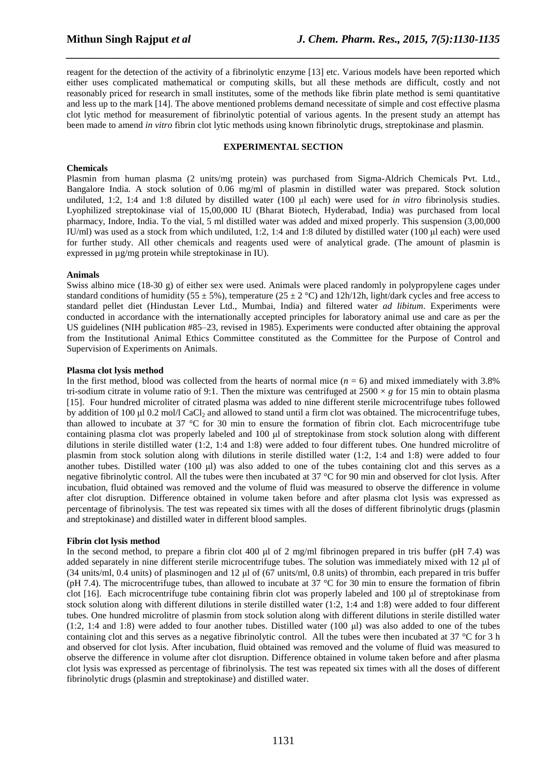reagent for the detection of the activity of a fibrinolytic enzyme [13] etc. Various models have been reported which either uses complicated mathematical or computing skills, but all these methods are difficult, costly and not reasonably priced for research in small institutes, some of the methods like fibrin plate method is semi quantitative and less up to the mark [14]. The above mentioned problems demand necessitate of simple and cost effective plasma clot lytic method for measurement of fibrinolytic potential of various agents. In the present study an attempt has been made to amend *in vitro* fibrin clot lytic methods using known fibrinolytic drugs, streptokinase and plasmin.

*\_\_\_\_\_\_\_\_\_\_\_\_\_\_\_\_\_\_\_\_\_\_\_\_\_\_\_\_\_\_\_\_\_\_\_\_\_\_\_\_\_\_\_\_\_\_\_\_\_\_\_\_\_\_\_\_\_\_\_\_\_\_\_\_\_\_\_\_\_\_\_\_\_\_\_\_\_\_*

### **EXPERIMENTAL SECTION**

### **Chemicals**

Plasmin from human plasma (2 units/mg protein) was purchased from Sigma-Aldrich Chemicals Pvt. Ltd., Bangalore India. A stock solution of 0.06 mg/ml of plasmin in distilled water was prepared. Stock solution undiluted, 1:2, 1:4 and 1:8 diluted by distilled water (100 ul each) were used for *in vitro* fibrinolysis studies. Lyophilized streptokinase vial of 15,00,000 IU (Bharat Biotech, Hyderabad, India) was purchased from local pharmacy, Indore, India. To the vial, 5 ml distilled water was added and mixed properly. This suspension (3,00,000 IU/ml) was used as a stock from which undiluted,  $1:2$ ,  $1:4$  and  $1:8$  diluted by distilled water (100  $\mu$ l each) were used for further study. All other chemicals and reagents used were of analytical grade. (The amount of plasmin is expressed in µg/mg protein while streptokinase in IU).

#### **Animals**

Swiss albino mice (18-30 g) of either sex were used. Animals were placed randomly in polypropylene cages under standard conditions of humidity (55  $\pm$  5%), temperature (25  $\pm$  2 °C) and 12h/12h, light/dark cycles and free access to standard pellet diet (Hindustan Lever Ltd., Mumbai, India) and filtered water *ad libitum*. Experiments were conducted in accordance with the internationally accepted principles for laboratory animal use and care as per the US guidelines (NIH publication #85–23, revised in 1985). Experiments were conducted after obtaining the approval from the Institutional Animal Ethics Committee constituted as the Committee for the Purpose of Control and Supervision of Experiments on Animals.

#### **Plasma clot lysis method**

In the first method, blood was collected from the hearts of normal mice  $(n = 6)$  and mixed immediately with 3.8% tri-sodium citrate in volume ratio of 9:1. Then the mixture was centrifuged at  $2500 \times g$  for 15 min to obtain plasma [15]. Four hundred microliter of citrated plasma was added to nine different sterile microcentrifuge tubes followed by addition of 100  $\mu$ l 0.2 mol/l CaCl<sub>2</sub> and allowed to stand until a firm clot was obtained. The microcentrifuge tubes, than allowed to incubate at 37 °C for 30 min to ensure the formation of fibrin clot. Each microcentrifuge tube containing plasma clot was properly labeled and 100 ul of streptokinase from stock solution along with different dilutions in sterile distilled water (1:2, 1:4 and 1:8) were added to four different tubes. One hundred microlitre of plasmin from stock solution along with dilutions in sterile distilled water (1:2, 1:4 and 1:8) were added to four another tubes. Distilled water (100 µl) was also added to one of the tubes containing clot and this serves as a negative fibrinolytic control. All the tubes were then incubated at 37 °C for 90 min and observed for clot lysis. After incubation, fluid obtained was removed and the volume of fluid was measured to observe the difference in volume after clot disruption. Difference obtained in volume taken before and after plasma clot lysis was expressed as percentage of fibrinolysis. The test was repeated six times with all the doses of different fibrinolytic drugs (plasmin and streptokinase) and distilled water in different blood samples.

### **Fibrin clot lysis method**

In the second method, to prepare a fibrin clot 400  $\mu$  of 2 mg/ml fibrinogen prepared in tris buffer (pH 7.4) was added separately in nine different sterile microcentrifuge tubes. The solution was immediately mixed with 12 µl of (34 units/ml, 0.4 units) of plasminogen and 12  $\mu$ l of (67 units/ml, 0.8 units) of thrombin, each prepared in tris buffer (pH 7.4). The microcentrifuge tubes, than allowed to incubate at 37  $\degree$ C for 30 min to ensure the formation of fibrin clot [16]. Each microcentrifuge tube containing fibrin clot was properly labeled and 100 µl of streptokinase from stock solution along with different dilutions in sterile distilled water (1:2, 1:4 and 1:8) were added to four different tubes. One hundred microlitre of plasmin from stock solution along with different dilutions in sterile distilled water  $(1:2, 1:4 \text{ and } 1:8)$  were added to four another tubes. Distilled water  $(100 \text{ µ})$  was also added to one of the tubes containing clot and this serves as a negative fibrinolytic control. All the tubes were then incubated at  $37 \degree C$  for  $3 \text{ h}$ and observed for clot lysis. After incubation, fluid obtained was removed and the volume of fluid was measured to observe the difference in volume after clot disruption. Difference obtained in volume taken before and after plasma clot lysis was expressed as percentage of fibrinolysis. The test was repeated six times with all the doses of different fibrinolytic drugs (plasmin and streptokinase) and distilled water.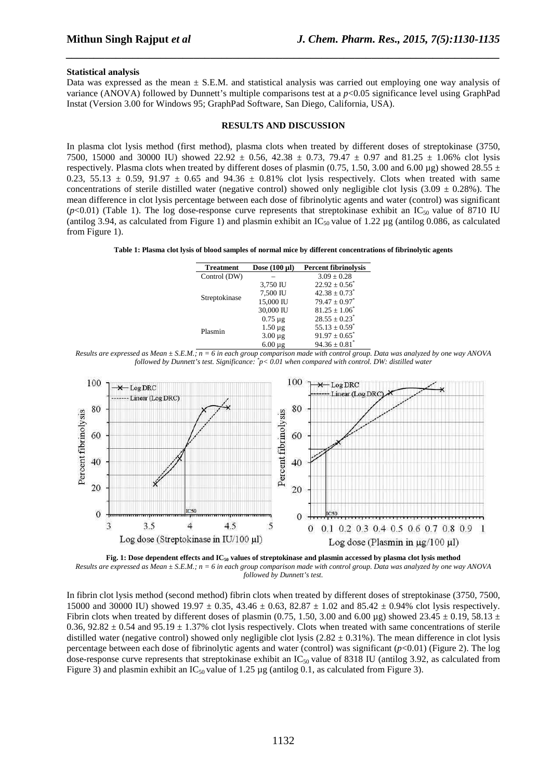#### **Statistical analysis**

Data was expressed as the mean  $\pm$  S.E.M. and statistical analysis was carried out employing one way analysis of variance (ANOVA) followed by Dunnett's multiple comparisons test at a *p*<0.05 significance level using GraphPad Instat (Version 3.00 for Windows 95; GraphPad Software, San Diego, California, USA).

*\_\_\_\_\_\_\_\_\_\_\_\_\_\_\_\_\_\_\_\_\_\_\_\_\_\_\_\_\_\_\_\_\_\_\_\_\_\_\_\_\_\_\_\_\_\_\_\_\_\_\_\_\_\_\_\_\_\_\_\_\_\_\_\_\_\_\_\_\_\_\_\_\_\_\_\_\_\_*

#### **RESULTS AND DISCUSSION**

In plasma clot lysis method (first method), plasma clots when treated by different doses of streptokinase (3750, 7500, 15000 and 30000 IU) showed  $22.92 \pm 0.56$ ,  $42.38 \pm 0.73$ ,  $79.47 \pm 0.97$  and  $81.25 \pm 1.06\%$  clot lysis respectively. Plasma clots when treated by different doses of plasmin (0.75, 1.50, 3.00 and 6.00 µg) showed 28.55  $\pm$ 0.23, 55.13  $\pm$  0.59, 91.97  $\pm$  0.65 and 94.36  $\pm$  0.81% clot lysis respectively. Clots when treated with same concentrations of sterile distilled water (negative control) showed only negligible clot lysis (3.09  $\pm$  0.28%). The mean difference in clot lysis percentage between each dose of fibrinolytic agents and water (control) was significant  $(p<0.01)$  (Table 1). The log dose-response curve represents that streptokinase exhibit an IC<sub>50</sub> value of 8710 IU (antilog 3.94, as calculated from Figure 1) and plasmin exhibit an  $IC_{50}$  value of 1.22 µg (antilog 0.086, as calculated from Figure 1).

**Table 1: Plasma clot lysis of blood samples of normal mice by different concentrations of fibrinolytic agents** 

| <b>Treatment</b> | Dose $(100 \mu l)$ | <b>Percent fibrinolysis</b>   |
|------------------|--------------------|-------------------------------|
| Control (DW)     |                    | $3.09 \pm 0.28$               |
| Streptokinase    | 3,750 IU           | $22.92 \pm 0.56^*$            |
|                  | 7,500 IU           | $42.38 + 0.73^*$              |
|                  | 15,000 IU          | $79.47 \pm 0.97^*$            |
|                  | 30,000 IU          | $81.25 \pm 1.06^*$            |
| Plasmin          | $0.75 \mu$ g       | $28.55 \pm 0.23$ <sup>*</sup> |
|                  | $1.50 \mu g$       | $55.13 \pm 0.59^*$            |
|                  | $3.00 \mu g$       | $91.97 \pm 0.65$ <sup>*</sup> |
|                  | $6.00 \mu$ g       | $94.36 \pm 0.81^*$            |

*Results are expressed as Mean ± S.E.M.; n = 6 in each group comparison made with control group. Data was analyzed by one way ANOVA followed by Dunnett's test. Significance: \* p< 0.01 when compared with control. DW: distilled water* 



**Fig. 1: Dose dependent effects and IC50 values of streptokinase and plasmin accessed by plasma clot lysis method**  *Results are expressed as Mean ± S.E.M.; n = 6 in each group comparison made with control group. Data was analyzed by one way ANOVA followed by Dunnett's test.* 

In fibrin clot lysis method (second method) fibrin clots when treated by different doses of streptokinase (3750, 7500, 15000 and 30000 IU) showed 19.97  $\pm$  0.35, 43.46  $\pm$  0.63, 82.87  $\pm$  1.02 and 85.42  $\pm$  0.94% clot lysis respectively. Fibrin clots when treated by different doses of plasmin (0.75, 1.50, 3.00 and 6.00 µg) showed 23.45  $\pm$  0.19, 58.13  $\pm$ 0.36,  $92.82 \pm 0.54$  and  $95.19 \pm 1.37\%$  clot lysis respectively. Clots when treated with same concentrations of sterile distilled water (negative control) showed only negligible clot lysis ( $2.82 \pm 0.31\%$ ). The mean difference in clot lysis percentage between each dose of fibrinolytic agents and water (control) was significant (*p*<0.01) (Figure 2). The log dose-response curve represents that streptokinase exhibit an  $IC_{50}$  value of 8318 IU (antilog 3.92, as calculated from Figure 3) and plasmin exhibit an IC<sub>50</sub> value of 1.25  $\mu$ g (antilog 0.1, as calculated from Figure 3).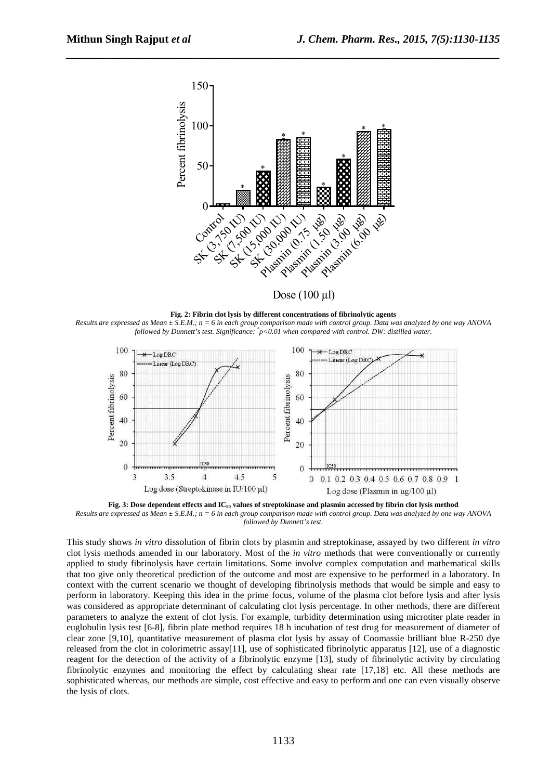

*\_\_\_\_\_\_\_\_\_\_\_\_\_\_\_\_\_\_\_\_\_\_\_\_\_\_\_\_\_\_\_\_\_\_\_\_\_\_\_\_\_\_\_\_\_\_\_\_\_\_\_\_\_\_\_\_\_\_\_\_\_\_\_\_\_\_\_\_\_\_\_\_\_\_\_\_\_\_*

Dose  $(100 \mu l)$ 

**Fig. 2: Fibrin clot lysis by different concentrations of fibrinolytic agents**  *Results are expressed as Mean ± S.E.M.; n = 6 in each group comparison made with control group. Data was analyzed by one way ANOVA followed by Dunnett's test. Significance: \* p<0.01 when compared with control. DW: distilled water.* 



**Fig. 3: Dose dependent effects and IC50 values of streptokinase and plasmin accessed by fibrin clot lysis method**  *Results are expressed as Mean ± S.E.M.; n = 6 in each group comparison made with control group. Data was analyzed by one way ANOVA followed by Dunnett's test.* 

This study shows *in vitro* dissolution of fibrin clots by plasmin and streptokinase, assayed by two different *in vitro*  clot lysis methods amended in our laboratory. Most of the *in vitro* methods that were conventionally or currently applied to study fibrinolysis have certain limitations. Some involve complex computation and mathematical skills that too give only theoretical prediction of the outcome and most are expensive to be performed in a laboratory. In context with the current scenario we thought of developing fibrinolysis methods that would be simple and easy to perform in laboratory. Keeping this idea in the prime focus, volume of the plasma clot before lysis and after lysis was considered as appropriate determinant of calculating clot lysis percentage. In other methods, there are different parameters to analyze the extent of clot lysis. For example, turbidity determination using microtiter plate reader in euglobulin lysis test [6-8], fibrin plate method requires 18 h incubation of test drug for measurement of diameter of clear zone [9,10], quantitative measurement of plasma clot lysis by assay of Coomassie brilliant blue R-250 dye released from the clot in colorimetric assay[11], use of sophisticated fibrinolytic apparatus [12], use of a diagnostic reagent for the detection of the activity of a fibrinolytic enzyme [13], study of fibrinolytic activity by circulating fibrinolytic enzymes and monitoring the effect by calculating shear rate [17,18] etc. All these methods are sophisticated whereas, our methods are simple, cost effective and easy to perform and one can even visually observe the lysis of clots.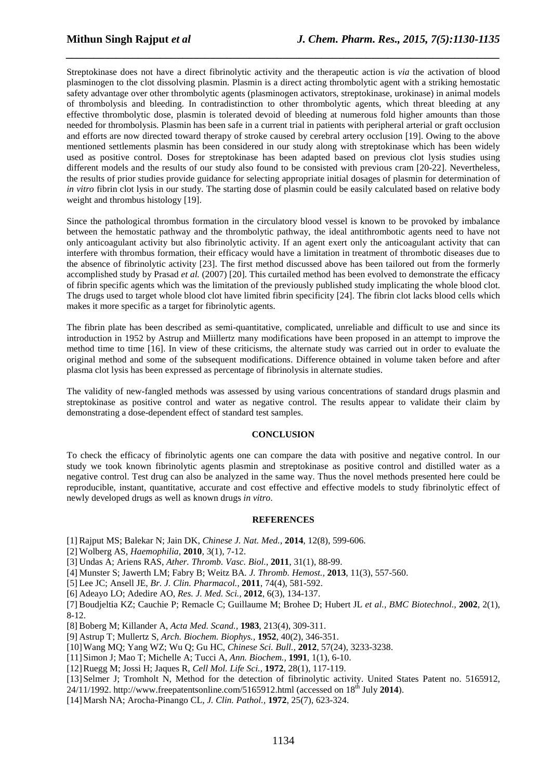Streptokinase does not have a direct fibrinolytic activity and the therapeutic action is *via* the activation of blood plasminogen to the clot dissolving plasmin. Plasmin is a direct acting thrombolytic agent with a striking hemostatic safety advantage over other thrombolytic agents (plasminogen activators, streptokinase, urokinase) in animal models of thrombolysis and bleeding. In contradistinction to other thrombolytic agents, which threat bleeding at any effective thrombolytic dose, plasmin is tolerated devoid of bleeding at numerous fold higher amounts than those needed for thrombolysis. Plasmin has been safe in a current trial in patients with peripheral arterial or graft occlusion and efforts are now directed toward therapy of stroke caused by cerebral artery occlusion [19]. Owing to the above mentioned settlements plasmin has been considered in our study along with streptokinase which has been widely used as positive control. Doses for streptokinase has been adapted based on previous clot lysis studies using different models and the results of our study also found to be consisted with previous cram [20-22]. Nevertheless, the results of prior studies provide guidance for selecting appropriate initial dosages of plasmin for determination of *in vitro* fibrin clot lysis in our study. The starting dose of plasmin could be easily calculated based on relative body weight and thrombus histology [19].

*\_\_\_\_\_\_\_\_\_\_\_\_\_\_\_\_\_\_\_\_\_\_\_\_\_\_\_\_\_\_\_\_\_\_\_\_\_\_\_\_\_\_\_\_\_\_\_\_\_\_\_\_\_\_\_\_\_\_\_\_\_\_\_\_\_\_\_\_\_\_\_\_\_\_\_\_\_\_*

Since the pathological thrombus formation in the circulatory blood vessel is known to be provoked by imbalance between the hemostatic pathway and the thrombolytic pathway, the ideal antithrombotic agents need to have not only anticoagulant activity but also fibrinolytic activity. If an agent exert only the anticoagulant activity that can interfere with thrombus formation, their efficacy would have a limitation in treatment of thrombotic diseases due to the absence of fibrinolytic activity [23]. The first method discussed above has been tailored out from the formerly accomplished study by Prasad *et al.* (2007) [20]. This curtailed method has been evolved to demonstrate the efficacy of fibrin specific agents which was the limitation of the previously published study implicating the whole blood clot. The drugs used to target whole blood clot have limited fibrin specificity [24]. The fibrin clot lacks blood cells which makes it more specific as a target for fibrinolytic agents.

The fibrin plate has been described as semi-quantitative, complicated, unreliable and difficult to use and since its introduction in 1952 by Astrup and Miillertz many modifications have been proposed in an attempt to improve the method time to time [16]. In view of these criticisms, the alternate study was carried out in order to evaluate the original method and some of the subsequent modifications. Difference obtained in volume taken before and after plasma clot lysis has been expressed as percentage of fibrinolysis in alternate studies.

The validity of new-fangled methods was assessed by using various concentrations of standard drugs plasmin and streptokinase as positive control and water as negative control. The results appear to validate their claim by demonstrating a dose-dependent effect of standard test samples.

### **CONCLUSION**

To check the efficacy of fibrinolytic agents one can compare the data with positive and negative control. In our study we took known fibrinolytic agents plasmin and streptokinase as positive control and distilled water as a negative control. Test drug can also be analyzed in the same way. Thus the novel methods presented here could be reproducible, instant, quantitative, accurate and cost effective and effective models to study fibrinolytic effect of newly developed drugs as well as known drugs *in vitro*.

#### **REFERENCES**

[1] Rajput MS; Balekar N; Jain DK, *Chinese J. Nat. Med.,* **2014**, 12(8), 599-606.

[2] Wolberg AS, *Haemophilia,* **2010**, 3(1), 7-12.

[3] Undas A; Ariens RAS, *Ather. Thromb. Vasc. Biol.*, **2011**, 31(1), 88-99.

[4] Munster S; Jawerth LM; Fabry B; Weitz BA*. J. Thromb. Hemost.,* **2013**, 11(3), 557-560.

- [5] Lee JC; Ansell JE, *Br. J. Clin. Pharmacol.,* **2011**, 74(4), 581-592.
- [6] Adeayo LO; Adedire AO, *Res. J. Med. Sci.,* **2012**, 6(3), 134-137.

[7] Boudjeltia KZ; Cauchie P; Remacle C; Guillaume M; Brohee D; Hubert JL *et al., BMC Biotechnol.,* **2002**, 2(1), 8-12.

[8] Boberg M; Killander A, *Acta Med. Scand.,* **1983**, 213(4), 309-311.

[9] Astrup T; Mullertz S, *Arch. Biochem. Biophys.,* **1952**, 40(2), 346-351.

[10]Wang MQ; Yang WZ; Wu Q; Gu HC, *Chinese Sci. Bull.,* **2012**, 57(24), 3233-3238.

- [11]Simon J; Mao T; Michelle A; Tucci A, *Ann. Biochem.,* **1991**, 1(1), 6-10.
- [12]Ruegg M; Jossi H; Jaques R, *Cell Mol. Life Sci.,* **1972**, 28(1), 117-119.

[13]Selmer J; Tromholt N, Method for the detection of fibrinolytic activity. United States Patent no. 5165912,

24/11/1992. http://www.freepatentsonline.com/5165912.html (accessed on 18<sup>th</sup> July 2014).

[14]Marsh NA; Arocha-Pinango CL, *J. Clin. Pathol.,* **1972**, 25(7), 623-324.